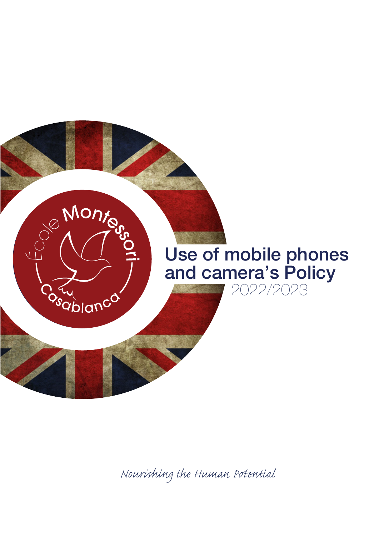

*Nourishing the Human Pential*